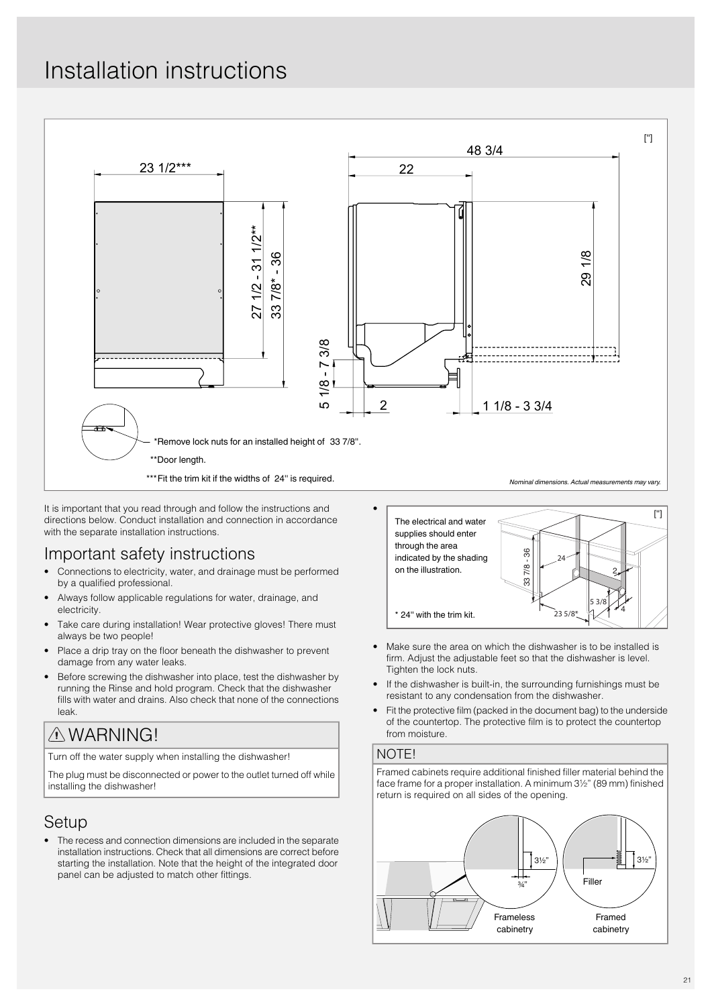# Installation instructions



It is important that you read through and follow the instructions and directions below. Conduct installation and connection in accordance with the separate installation instructions.

### Important safety instructions

- Connections to electricity, water, and drainage must be performed by a qualified professional.
- Always follow applicable regulations for water, drainage, and electricity.
- Take care during installation! Wear protective gloves! There must always be two people!
- Place a drip tray on the floor beneath the dishwasher to prevent damage from any water leaks.
- Before screwing the dishwasher into place, test the dishwasher by running the Rinse and hold program. Check that the dishwasher fills with water and drains. Also check that none of the connections leak.

# WARNING!

Turn off the water supply when installing the dishwasher!

The plug must be disconnected or power to the outlet turned off while installing the dishwasher!

### Setup

• The recess and connection dimensions are included in the separate installation instructions. Check that all dimensions are correct before starting the installation. Note that the height of the integrated door panel can be adjusted to match other fittings.



- Make sure the area on which the dishwasher is to be installed is firm. Adjust the adjustable feet so that the dishwasher is level. Tighten the lock nuts.
- If the dishwasher is built-in, the surrounding furnishings must be resistant to any condensation from the dishwasher.
- Fit the protective film (packed in the document bag) to the underside of the countertop. The protective film is to protect the countertop from moisture.

### NOTE!

Framed cabinets require additional finished filler material behind the face frame for a proper installation. A minimum 3½" (89 mm) finished return is required on all sides of the opening.